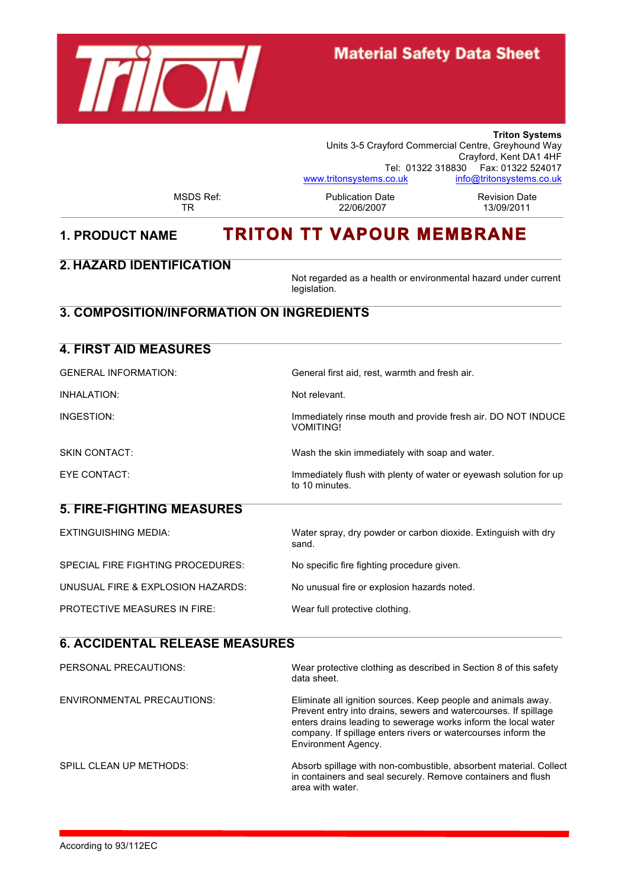

## **Material Safety Data Sheet**

**Triton Systems** Units 3-5 Crayford Commercial Centre, Greyhound Way Crayford, Kent DA1 4HF Tel: 01322 318830 Fax: 01322 524017<br>co.uk info@tritonsystems.co.uk www.tritonsystems.co.uk

MSDS Ref: 
Publication Date 
Revision Date<br>
TR
22/06/2007

Revision Date 22/06/2007

# **1. PRODUCT NAME TRITON TT VAPOUR MEMBRANE**

#### **2. HAZARD IDENTIFICATION**

**4. FIRST AID MEASURES**

Not regarded as a health or environmental hazard under current legislation.

## **3. COMPOSITION/INFORMATION ON INGREDIENTS**

| 4. FIRST AID MEASURES               |                                                                                     |
|-------------------------------------|-------------------------------------------------------------------------------------|
| <b>GENERAL INFORMATION:</b>         | General first aid, rest, warmth and fresh air.                                      |
| INHALATION:                         | Not relevant.                                                                       |
| INGESTION:                          | Immediately rinse mouth and provide fresh air. DO NOT INDUCE<br><b>VOMITING!</b>    |
| <b>SKIN CONTACT:</b>                | Wash the skin immediately with soap and water.                                      |
| EYE CONTACT:                        | Immediately flush with plenty of water or eyewash solution for up<br>to 10 minutes. |
| <b>5. FIRE-FIGHTING MEASURES</b>    |                                                                                     |
| <b>EXTINGUISHING MEDIA:</b>         | Water spray, dry powder or carbon dioxide. Extinguish with dry<br>sand.             |
| SPECIAL FIRE FIGHTING PROCEDURES:   | No specific fire fighting procedure given.                                          |
| UNUSUAL FIRE & EXPLOSION HAZARDS:   | No unusual fire or explosion hazards noted.                                         |
| <b>PROTECTIVE MEASURES IN FIRE:</b> | Wear full protective clothing.                                                      |
| A A AIRENTAL RELEAR MEAGUREA        |                                                                                     |

### **6. ACCIDENTAL RELEASE MEASURES**

| PERSONAL PRECAUTIONS:      | Wear protective clothing as described in Section 8 of this safety<br>data sheet.                                                                                                                                                                                                           |
|----------------------------|--------------------------------------------------------------------------------------------------------------------------------------------------------------------------------------------------------------------------------------------------------------------------------------------|
| ENVIRONMENTAL PRECAUTIONS: | Eliminate all ignition sources. Keep people and animals away.<br>Prevent entry into drains, sewers and watercourses. If spillage<br>enters drains leading to sewerage works inform the local water<br>company. If spillage enters rivers or watercourses inform the<br>Environment Agency. |
| SPILL CLEAN UP METHODS:    | Absorb spillage with non-combustible, absorbent material. Collect<br>in containers and seal securely. Remove containers and flush<br>area with water.                                                                                                                                      |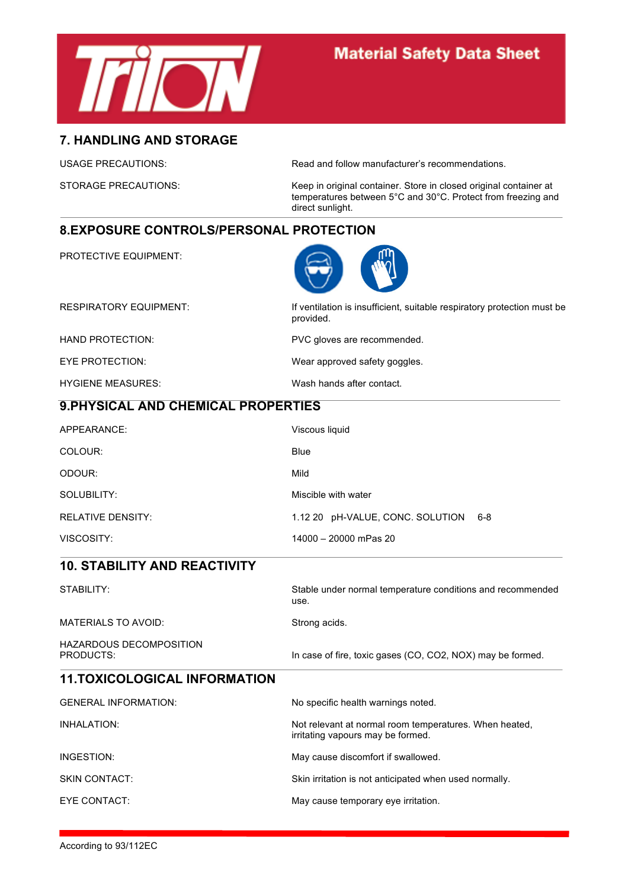

## **Material Safety Data Sheet**

#### **7. HANDLING AND STORAGE**

USAGE PRECAUTIONS: Read and follow manufacturer's recommendations.

STORAGE PRECAUTIONS: Keep in original container. Store in closed original container at temperatures between 5°C and 30°C. Protect from freezing and direct sunlight.

#### **8.EXPOSURE CONTROLS/PERSONAL PROTECTION**

PROTECTIVE EQUIPMENT:



| <b>RESPIRATORY EQUIPMENT:</b> | If ventilation is insufficient, suitable respiratory protection must be<br>provided. |
|-------------------------------|--------------------------------------------------------------------------------------|
| HAND PROTECTION:              | PVC gloves are recommended.                                                          |
| EYE PROTECTION:               | Wear approved safety goggles.                                                        |
| <b>HYGIENE MEASURES:</b>      | Wash hands after contact.                                                            |

### **9.PHYSICAL AND CHEMICAL PROPERTIES**

| APPEARANCE:              | Viscous liquid                       |
|--------------------------|--------------------------------------|
| COLOUR:                  | Blue                                 |
| ODOUR:                   | Mild                                 |
| SOLUBILITY:              | Miscible with water                  |
| <b>RELATIVE DENSITY:</b> | 1.12 20 pH-VALUE, CONC. SOLUTION 6-8 |
| VISCOSITY:               | 14000 - 20000 mPas 20                |

#### **10. STABILITY AND REACTIVITY**

STABILITY: Stable under normal temperature conditions and recommended use. MATERIALS TO AVOID: Strong acids. HAZARDOUS DECOMPOSITION<br>PRODUCTS: In case of fire, toxic gases (CO, CO2, NOX) may be formed.

#### **11.TOXICOLOGICAL INFORMATION**

| <b>GENERAL INFORMATION:</b> | No specific health warnings noted.                                                          |
|-----------------------------|---------------------------------------------------------------------------------------------|
| INHALATION:                 | Not relevant at normal room temperatures. When heated,<br>irritating vapours may be formed. |
| INGESTION:                  | May cause discomfort if swallowed.                                                          |
| SKIN CONTACT:               | Skin irritation is not anticipated when used normally.                                      |
| EYE CONTACT:                | May cause temporary eye irritation.                                                         |